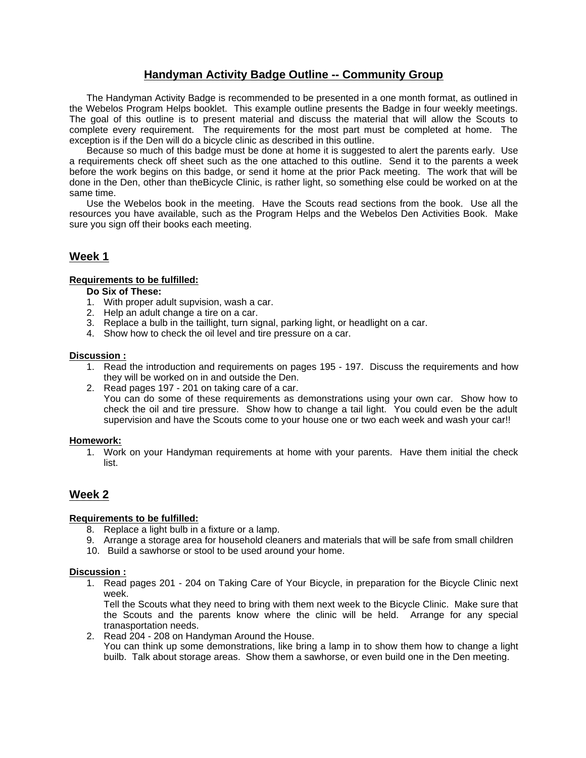## **Handyman Activity Badge Outline -- Community Group**

The Handyman Activity Badge is recommended to be presented in a one month format, as outlined in the Webelos Program Helps booklet. This example outline presents the Badge in four weekly meetings. The goal of this outline is to present material and discuss the material that will allow the Scouts to complete every requirement. The requirements for the most part must be completed at home. The exception is if the Den will do a bicycle clinic as described in this outline.

Because so much of this badge must be done at home it is suggested to alert the parents early. Use a requirements check off sheet such as the one attached to this outline. Send it to the parents a week before the work begins on this badge, or send it home at the prior Pack meeting. The work that will be done in the Den, other than theBicycle Clinic, is rather light, so something else could be worked on at the same time.

Use the Webelos book in the meeting. Have the Scouts read sections from the book. Use all the resources you have available, such as the Program Helps and the Webelos Den Activities Book. Make sure you sign off their books each meeting.

## **Week 1**

## **Requirements to be fulfilled:**

- **Do Six of These:**
- 1. With proper adult supvision, wash a car.
- 2. Help an adult change a tire on a car.
- 3. Replace a bulb in the taillight, turn signal, parking light, or headlight on a car.
- 4. Show how to check the oil level and tire pressure on a car.

#### **Discussion :**

- 1. Read the introduction and requirements on pages 195 197. Discuss the requirements and how they will be worked on in and outside the Den.
- 2. Read pages 197 201 on taking care of a car.
- You can do some of these requirements as demonstrations using your own car. Show how to check the oil and tire pressure. Show how to change a tail light. You could even be the adult supervision and have the Scouts come to your house one or two each week and wash your car!!

#### **Homework:**

1. Work on your Handyman requirements at home with your parents. Have them initial the check list.

## **Week 2**

## **Requirements to be fulfilled:**

- 8. Replace a light bulb in a fixture or a lamp.
- 9. Arrange a storage area for household cleaners and materials that will be safe from small children
- 10. Build a sawhorse or stool to be used around your home.

#### **Discussion :**

1. Read pages 201 - 204 on Taking Care of Your Bicycle, in preparation for the Bicycle Clinic next week.

Tell the Scouts what they need to bring with them next week to the Bicycle Clinic. Make sure that the Scouts and the parents know where the clinic will be held. Arrange for any special tranasportation needs.

2. Read 204 - 208 on Handyman Around the House. You can think up some demonstrations, like bring a lamp in to show them how to change a light builb. Talk about storage areas. Show them a sawhorse, or even build one in the Den meeting.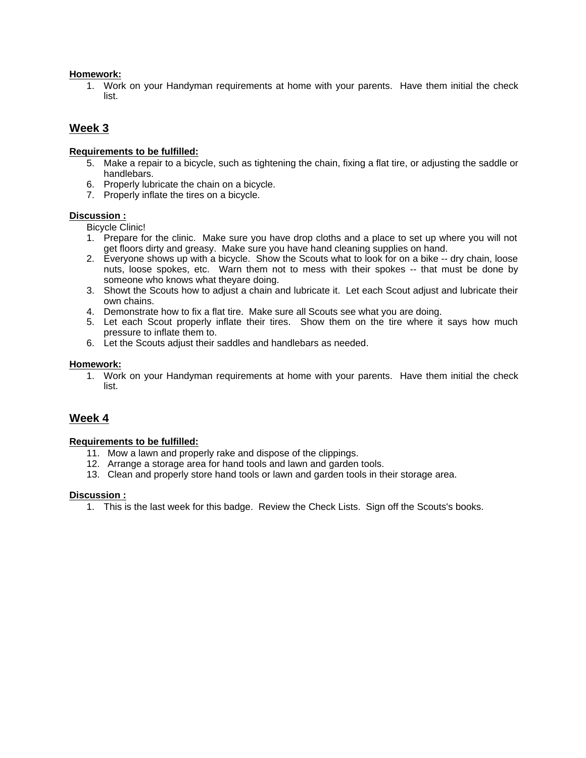## **Homework:**

1. Work on your Handyman requirements at home with your parents. Have them initial the check list.

## **Week 3**

## **Requirements to be fulfilled:**

- 5. Make a repair to a bicycle, such as tightening the chain, fixing a flat tire, or adjusting the saddle or handlebars.
- 6. Properly lubricate the chain on a bicycle.
- 7. Properly inflate the tires on a bicycle.

## **Discussion :**

Bicycle Clinic!

- 1. Prepare for the clinic. Make sure you have drop cloths and a place to set up where you will not get floors dirty and greasy. Make sure you have hand cleaning supplies on hand.
- 2. Everyone shows up with a bicycle. Show the Scouts what to look for on a bike -- dry chain, loose nuts, loose spokes, etc. Warn them not to mess with their spokes -- that must be done by someone who knows what theyare doing.
- 3. Showt the Scouts how to adjust a chain and lubricate it. Let each Scout adjust and lubricate their own chains.
- 4. Demonstrate how to fix a flat tire. Make sure all Scouts see what you are doing.
- 5. Let each Scout properly inflate their tires. Show them on the tire where it says how much pressure to inflate them to.
- 6. Let the Scouts adjust their saddles and handlebars as needed.

## **Homework:**

1. Work on your Handyman requirements at home with your parents. Have them initial the check list.

## **Week 4**

## **Requirements to be fulfilled:**

- 11. Mow a lawn and properly rake and dispose of the clippings.
- 12. Arrange a storage area for hand tools and lawn and garden tools.
- 13. Clean and properly store hand tools or lawn and garden tools in their storage area.

## **Discussion :**

1. This is the last week for this badge. Review the Check Lists. Sign off the Scouts's books.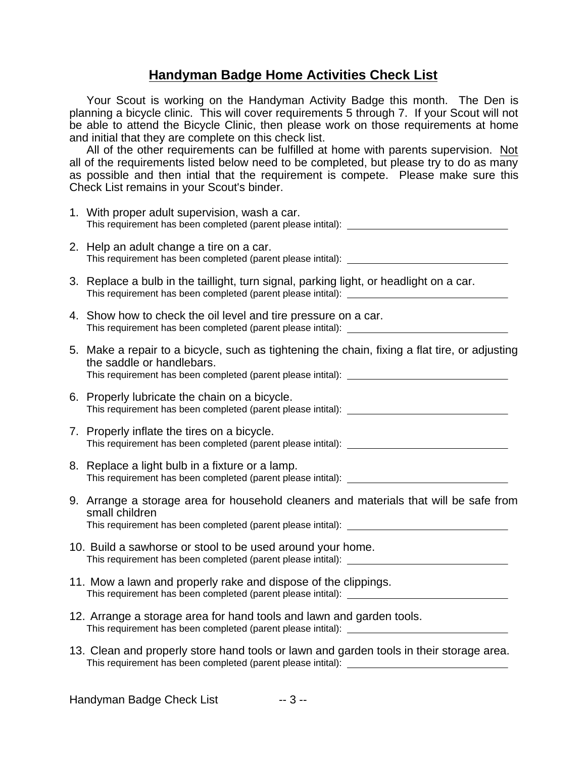## **Handyman Badge Home Activities Check List**

Your Scout is working on the Handyman Activity Badge this month. The Den is planning a bicycle clinic. This will cover requirements 5 through 7. If your Scout will not be able to attend the Bicycle Clinic, then please work on those requirements at home and initial that they are complete on this check list.

All of the other requirements can be fulfilled at home with parents supervision. Not all of the requirements listed below need to be completed, but please try to do as many as possible and then intial that the requirement is compete. Please make sure this Check List remains in your Scout's binder.

| 1. With proper adult supervision, wash a car.<br>This requirement has been completed (parent please intital):                                                                                                                                                                    |
|----------------------------------------------------------------------------------------------------------------------------------------------------------------------------------------------------------------------------------------------------------------------------------|
| 2. Help an adult change a tire on a car.                                                                                                                                                                                                                                         |
| 3. Replace a bulb in the taillight, turn signal, parking light, or headlight on a car.                                                                                                                                                                                           |
| 4. Show how to check the oil level and tire pressure on a car.                                                                                                                                                                                                                   |
| 5. Make a repair to a bicycle, such as tightening the chain, fixing a flat tire, or adjusting<br>the saddle or handlebars.                                                                                                                                                       |
| 6. Properly lubricate the chain on a bicycle.                                                                                                                                                                                                                                    |
| 7. Properly inflate the tires on a bicycle.                                                                                                                                                                                                                                      |
| 8. Replace a light bulb in a fixture or a lamp.<br>This requirement has been completed (parent please intital): [2000] [2000] [2000] [2000] [2000] [2000] [2000] [3000] [3000] [3000] [3000] [3000] [3000] [3000] [3000] [3000] [3000] [3000] [3000] [3000] [3000] [3000] [3000] |
| 9. Arrange a storage area for household cleaners and materials that will be safe from<br>small children                                                                                                                                                                          |
| 10. Build a sawhorse or stool to be used around your home.                                                                                                                                                                                                                       |
| 11. Mow a lawn and properly rake and dispose of the clippings.<br>This requirement has been completed (parent please intital): ___________________                                                                                                                               |
| 12. Arrange a storage area for hand tools and lawn and garden tools.<br>This requirement has been completed (parent please intital): ___________________                                                                                                                         |
| 13. Clean and properly store hand tools or lawn and garden tools in their storage area.                                                                                                                                                                                          |
|                                                                                                                                                                                                                                                                                  |